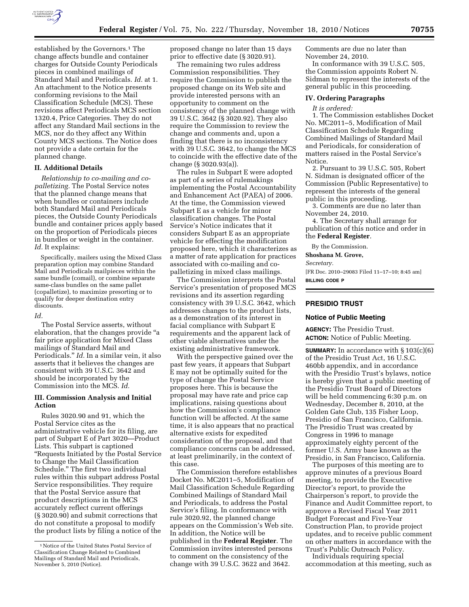

established by the Governors.<sup>1</sup> The change affects bundle and container charges for Outside County Periodicals pieces in combined mailings of Standard Mail and Periodicals. *Id.* at 1. An attachment to the Notice presents conforming revisions to the Mail Classification Schedule (MCS). These revisions affect Periodicals MCS section 1320.4, Price Categories. They do not affect any Standard Mail sections in the MCS, nor do they affect any Within County MCS sections. The Notice does not provide a date certain for the planned change.

### **II. Additional Details**

*Relationship to co-mailing and copalletizing.* The Postal Service notes that the planned change means that when bundles or containers include both Standard Mail and Periodicals pieces, the Outside County Periodicals bundle and container prices apply based on the proportion of Periodicals pieces in bundles or weight in the container. Id. It explains:

Specifically, mailers using the Mixed Class preparation option may combine Standard Mail and Periodicals mailpieces within the same bundle (comail), or combine separate same-class bundles on the same pallet (copalletize), to maximize presorting or to qualify for deeper destination entry discounts.

#### *Id.*

The Postal Service asserts, without elaboration, that the changes provide ''a fair price application for Mixed Class mailings of Standard Mail and Periodicals.'' *Id.* In a similar vein, it also asserts that it believes the changes are consistent with 39 U.S.C. 3642 and should be incorporated by the Commission into the MCS. *Id.* 

### **III. Commission Analysis and Initial Action**

Rules 3020.90 and 91, which the Postal Service cites as the administrative vehicle for its filing, are part of Subpart E of Part 3020—Product Lists. This subpart is captioned ''Requests Initiated by the Postal Service to Change the Mail Classification Schedule.'' The first two individual rules within this subpart address Postal Service responsibilities. They require that the Postal Service assure that product descriptions in the MCS accurately reflect current offerings (§ 3020.90) and submit corrections that do not constitute a proposal to modify the product lists by filing a notice of the

proposed change no later than 15 days prior to effective date (§ 3020.91).

The remaining two rules address Commission responsibilities. They require the Commission to publish the proposed change on its Web site and provide interested persons with an opportunity to comment on the consistency of the planned change with 39 U.S.C. 3642 (§ 3020.92). They also require the Commission to review the change and comments and, upon a finding that there is no inconsistency with 39 U.S.C. 3642, to change the MCS to coincide with the effective date of the change (§ 3020.93(a)).

The rules in Subpart E were adopted as part of a series of rulemakings implementing the Postal Accountability and Enhancement Act (PAEA) of 2006. At the time, the Commission viewed Subpart E as a vehicle for minor classification changes. The Postal Service's Notice indicates that it considers Subpart E as an appropriate vehicle for effecting the modification proposed here, which it characterizes as a matter of rate application for practices associated with co-mailing and copalletizing in mixed class mailings.

The Commission interprets the Postal Service's presentation of proposed MCS revisions and its assertion regarding consistency with 39 U.S.C. 3642, which addresses changes to the product lists, as a demonstration of its interest in facial compliance with Subpart E requirements and the apparent lack of other viable alternatives under the existing administrative framework.

With the perspective gained over the past few years, it appears that Subpart E may not be optimally suited for the type of change the Postal Service proposes here. This is because the proposal may have rate and price cap implications, raising questions about how the Commission's compliance function will be affected. At the same time, it is also appears that no practical alternative exists for expedited consideration of the proposal, and that compliance concerns can be addressed, at least preliminarily, in the context of this case.

The Commission therefore establishes Docket No. MC2011–5, Modification of Mail Classification Schedule Regarding Combined Mailings of Standard Mail and Periodicals, to address the Postal Service's filing. In conformance with rule 3020.92, the planned change appears on the Commission's Web site. In addition, the Notice will be published in the **Federal Register**. The Commission invites interested persons to comment on the consistency of the change with 39 U.S.C. 3622 and 3642.

Comments are due no later than November 24, 2010.

In conformance with 39 U.S.C. 505, the Commission appoints Robert N. Sidman to represent the interests of the general public in this proceeding.

#### **IV. Ordering Paragraphs**

*It is ordered:* 

1. The Commission establishes Docket No. MC2011–5, Modification of Mail Classification Schedule Regarding Combined Mailings of Standard Mail and Periodicals, for consideration of matters raised in the Postal Service's Notice.

2. Pursuant to 39 U.S.C. 505, Robert N. Sidman is designated officer of the Commission (Public Representative) to represent the interests of the general public in this proceeding.

3. Comments are due no later than November 24, 2010.

4. The Secretary shall arrange for publication of this notice and order in the **Federal Register**.

By the Commission.

**Shoshana M. Grove,** 

*Secretary.* 

[FR Doc. 2010–29083 Filed 11–17–10; 8:45 am] **BILLING CODE P** 

# **PRESIDIO TRUST**

### **Notice of Public Meeting**

**AGENCY:** The Presidio Trust. **ACTION:** Notice of Public Meeting.

**SUMMARY:** In accordance with § 103(c)(6) of the Presidio Trust Act, 16 U.S.C. 460bb appendix, and in accordance with the Presidio Trust's bylaws, notice is hereby given that a public meeting of the Presidio Trust Board of Directors will be held commencing 6:30 p.m. on Wednesday, December 8, 2010, at the Golden Gate Club, 135 Fisher Loop, Presidio of San Francisco, California. The Presidio Trust was created by Congress in 1996 to manage approximately eighty percent of the former U.S. Army base known as the Presidio, in San Francisco, California.

The purposes of this meeting are to approve minutes of a previous Board meeting, to provide the Executive Director's report, to provide the Chairperson's report, to provide the Finance and Audit Committee report, to approve a Revised Fiscal Year 2011 Budget Forecast and Five-Year Construction Plan, to provide project updates, and to receive public comment on other matters in accordance with the Trust's Public Outreach Policy.

Individuals requiring special accommodation at this meeting, such as

<sup>1</sup>Notice of the United States Postal Service of Classification Change Related to Combined Mailings of Standard Mail and Periodicals, November 5, 2010 (Notice).